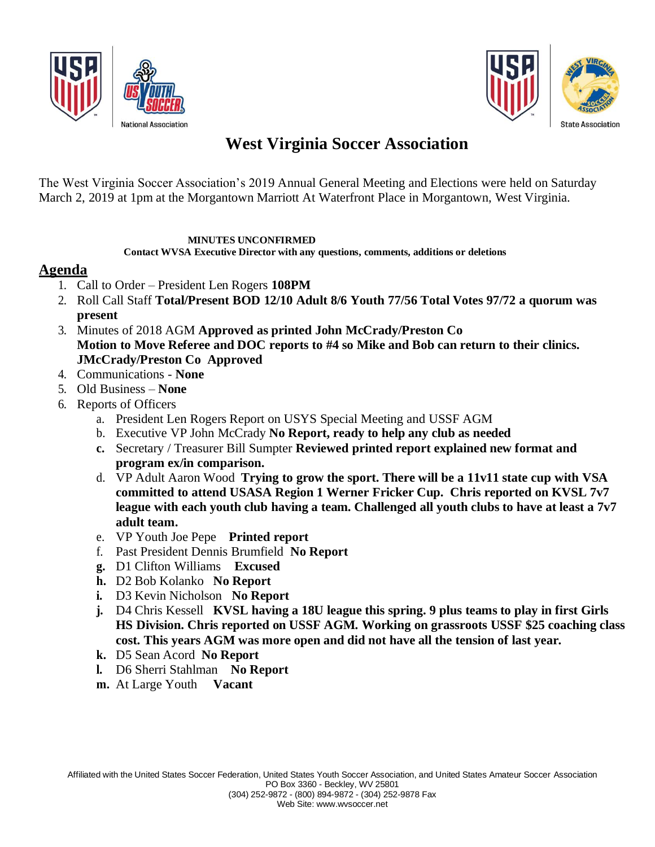



The West Virginia Soccer Association's 2019 Annual General Meeting and Elections were held on Saturday March 2, 2019 at 1pm at the Morgantown Marriott At Waterfront Place in Morgantown, West Virginia.

#### **MINUTES UNCONFIRMED**

 **Contact WVSA Executive Director with any questions, comments, additions or deletions**

#### **Agenda**

- 1. Call to Order President Len Rogers **108PM**
- 2. Roll Call Staff **Total/Present BOD 12/10 Adult 8/6 Youth 77/56 Total Votes 97/72 a quorum was present**
- 3. Minutes of 2018 AGM **Approved as printed John McCrady/Preston Co Motion to Move Referee and DOC reports to #4 so Mike and Bob can return to their clinics. JMcCrady/Preston Co Approved**
- 4. Communications **None**
- 5. Old Business **None**
- 6. Reports of Officers
	- a. President Len Rogers Report on USYS Special Meeting and USSF AGM
	- b. Executive VP John McCrady **No Report, ready to help any club as needed**
	- **c.** Secretary / Treasurer Bill Sumpter **Reviewed printed report explained new format and program ex/in comparison.**
	- d. VP Adult Aaron Wood **Trying to grow the sport. There will be a 11v11 state cup with VSA committed to attend USASA Region 1 Werner Fricker Cup. Chris reported on KVSL 7v7 league with each youth club having a team. Challenged all youth clubs to have at least a 7v7 adult team.**
	- e. VP Youth Joe Pepe **Printed report**
	- f. Past President Dennis Brumfield **No Report**
	- **g.** D1 Clifton Williams **Excused**
	- **h.** D2 Bob Kolanko **No Report**
	- **i.** D3 Kevin Nicholson **No Report**
	- **j.** D4 Chris Kessell **KVSL having a 18U league this spring. 9 plus teams to play in first Girls HS Division. Chris reported on USSF AGM. Working on grassroots USSF \$25 coaching class cost. This years AGM was more open and did not have all the tension of last year.**
	- **k.** D5 Sean Acord **No Report**
	- **l.** D6 Sherri Stahlman **No Report**
	- **m.** At Large Youth **Vacant**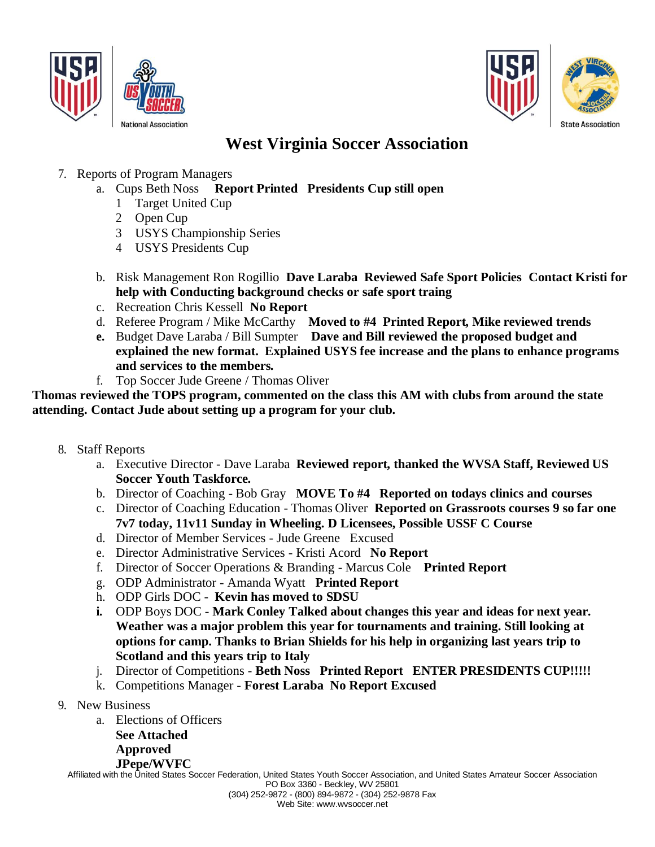



- 7. Reports of Program Managers
	- a. Cups Beth Noss **Report Printed Presidents Cup still open**
		- 1 Target United Cup
		- 2 Open Cup
		- 3 USYS Championship Series
		- 4 USYS Presidents Cup
	- b. Risk Management Ron Rogillio **Dave Laraba Reviewed Safe Sport Policies Contact Kristi for help with Conducting background checks or safe sport traing**
	- c. Recreation Chris Kessell **No Report**
	- d. Referee Program / Mike McCarthy **Moved to #4 Printed Report, Mike reviewed trends**
	- **e.** Budget Dave Laraba / Bill Sumpter **Dave and Bill reviewed the proposed budget and explained the new format. Explained USYS fee increase and the plans to enhance programs and services to the members.**
	- f. Top Soccer Jude Greene / Thomas Oliver

**Thomas reviewed the TOPS program, commented on the class this AM with clubs from around the state attending. Contact Jude about setting up a program for your club.**

- 8. Staff Reports
	- a. Executive Director Dave Laraba **Reviewed report, thanked the WVSA Staff, Reviewed US Soccer Youth Taskforce.**
	- b. Director of Coaching Bob Gray **MOVE To #4 Reported on todays clinics and courses**
	- c. Director of Coaching Education Thomas Oliver **Reported on Grassroots courses 9 so far one 7v7 today, 11v11 Sunday in Wheeling. D Licensees, Possible USSF C Course**
	- d. Director of Member Services Jude Greene Excused
	- e. Director Administrative Services Kristi Acord **No Report**
	- f. Director of Soccer Operations & Branding Marcus Cole **Printed Report**
	- g. ODP Administrator Amanda Wyatt **Printed Report**
	- h. ODP Girls DOC **Kevin has moved to SDSU**
	- **i.** ODP Boys DOC **Mark Conley Talked about changes this year and ideas for next year. Weather was a major problem this year for tournaments and training. Still looking at options for camp. Thanks to Brian Shields for his help in organizing last years trip to Scotland and this years trip to Italy**
	- j. Director of Competitions **Beth Noss Printed Report ENTER PRESIDENTS CUP!!!!!**
	- k. Competitions Manager **Forest Laraba No Report Excused**
- 9. New Business
	- a. Elections of Officers **See Attached** 
		- **Approved**

**JPepe/WVFC**

Affiliated with the United States Soccer Federation, United States Youth Soccer Association, and United States Amateur Soccer Association PO Box 3360 - Beckley, WV 25801 (304) 252-9872 - (800) 894-9872 - (304) 252-9878 Fax

Web Site: [www.wvsoccer.net](http://www.wvsoccer.net/)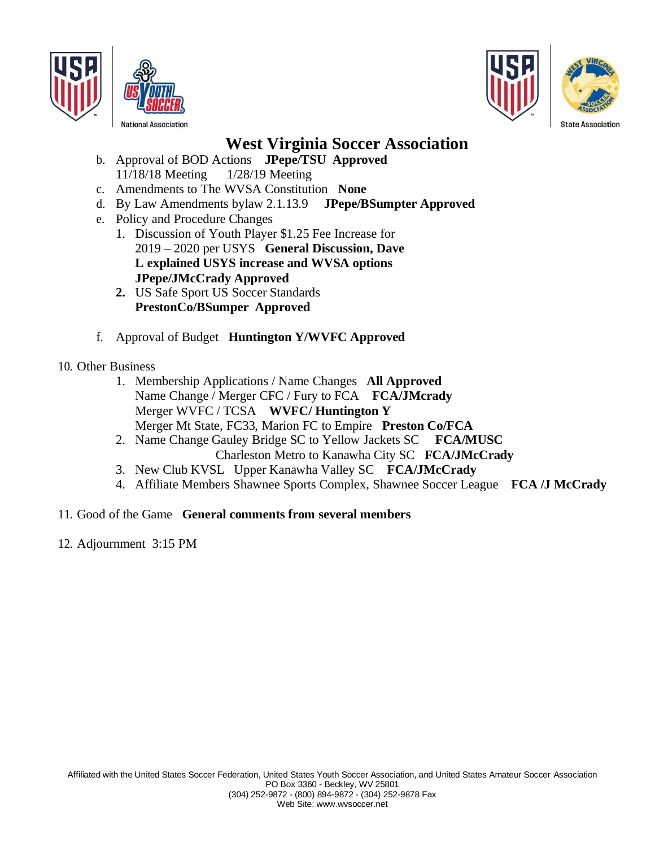



- b. Approval of BOD Actions **JPepe/TSU Approved**  11/18/18 Meeting 1/28/19 Meeting
- c. Amendments to The WVSA Constitution **None**
- d. By Law Amendments bylaw 2.1.13.9 **JPepe/BSumpter Approved**
- e. Policy and Procedure Changes
	- 1. Discussion of Youth Player \$1.25 Fee Increase for 2019 – 2020 per USYS **General Discussion, Dave L explained USYS increase and WVSA options JPepe/JMcCrady Approved**
	- **2.** US Safe Sport US Soccer Standards **PrestonCo/BSumper Approved**
- f. Approval of Budget **Huntington Y/WVFC Approved**
- 10. Other Business
	- 1. Membership Applications / Name Changes **All Approved** Name Change / Merger CFC / Fury to FCA **FCA/JMcrady** Merger WVFC / TCSA **WVFC/ Huntington Y** Merger Mt State, FC33, Marion FC to Empire **Preston Co/FCA**
	- 2. Name Change Gauley Bridge SC to Yellow Jackets SC **FCA/MUSC** Charleston Metro to Kanawha City SC **FCA/JMcCrady**
	- 3. New Club KVSL Upper Kanawha Valley SC **FCA/JMcCrady**
	- 4. Affiliate Members Shawnee Sports Complex, Shawnee Soccer League **FCA /J McCrady**

#### 11. Good of the Game **General comments from several members**

12. Adjournment 3:15 PM